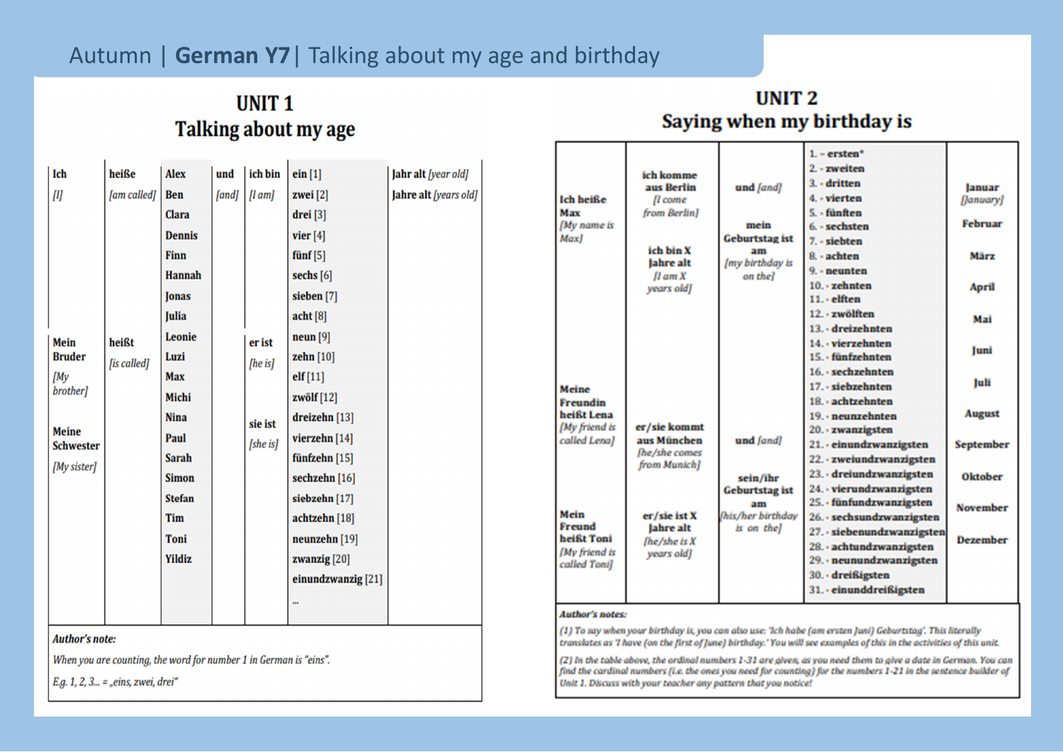# Autumn | German Y7 | Talking about my age and birthday

# **UNIT1** Talking about my age

|  | Ich                                                                                         | heiße                | Alex          | und   | ich bin                                  | ein [1]                       | Jahr alt [year old]   |
|--|---------------------------------------------------------------------------------------------|----------------------|---------------|-------|------------------------------------------|-------------------------------|-----------------------|
|  | [1]                                                                                         | [am called]          | Ben           | [and] | [I am]                                   | zwei [2]                      | Jahre alt [years old] |
|  |                                                                                             |                      | Clara         |       |                                          | drei [3]                      |                       |
|  | Mein<br><b>Bruder</b><br>[My<br>brother]<br><b>Meine</b><br><b>Schwester</b><br>[My sister] | heißt<br>[is called] | <b>Dennis</b> |       |                                          | vier $[4]$                    |                       |
|  |                                                                                             |                      | Finn          |       | er ist<br>[he is]<br>sie ist<br>[she is] | $f\ddot{\textbf{u}}$ nf $[5]$ |                       |
|  |                                                                                             |                      | <b>Hannah</b> |       |                                          | sechs [6]                     |                       |
|  |                                                                                             |                      | Jonas         |       |                                          | sieben [7]                    |                       |
|  |                                                                                             |                      | Julia         |       |                                          | acht[8]                       |                       |
|  |                                                                                             |                      | Leonie        |       |                                          | neun [9]                      |                       |
|  |                                                                                             |                      | Luzi          |       |                                          | zehn [10]                     |                       |
|  |                                                                                             |                      | Max           |       |                                          | elf[11]                       |                       |
|  |                                                                                             |                      | Michi         |       |                                          | zwölf $[12]$                  |                       |
|  |                                                                                             |                      | <b>Nina</b>   |       |                                          | dreizehn [13]                 |                       |
|  |                                                                                             |                      | Paul          |       |                                          | vierzehn [14]                 |                       |
|  |                                                                                             |                      | <b>Sarah</b>  |       |                                          | fünfzehn [15]                 |                       |
|  |                                                                                             |                      | <b>Simon</b>  |       |                                          | sechzehn [16]                 |                       |
|  |                                                                                             |                      | <b>Stefan</b> |       |                                          | siebzehn [17]                 |                       |
|  |                                                                                             |                      | Tim           |       |                                          | achtzehn [18]                 |                       |
|  |                                                                                             |                      | Toni          |       |                                          | neunzehn [19]                 |                       |
|  |                                                                                             |                      | Yildiz        |       |                                          | zwanzig <sup>[20]</sup>       |                       |
|  |                                                                                             |                      |               |       |                                          | einundzwanzig [21]            |                       |
|  |                                                                                             |                      |               |       |                                          |                               |                       |
|  |                                                                                             |                      |               |       |                                          |                               |                       |

#### **Author's note:**

When you are counting, the word for number 1 in German is "eins".

E.g. 1, 2, 3... = "eins, zwei, drei"

### **UNIT 2** Saying when my birthday is

|  |                                   |                                    |                       | $1 - ersten*$              |                 |  |
|--|-----------------------------------|------------------------------------|-----------------------|----------------------------|-----------------|--|
|  |                                   | ich komme                          |                       | 2. - zweiten               |                 |  |
|  |                                   | aus Berlin                         | und [and]             | $3. -$ dritten             | lanuar          |  |
|  | <b>Ich heiße</b>                  | Il come                            |                       | 4. - vierten               | [January]       |  |
|  | Max                               | from Berlin]                       |                       | $5. - f$ ünften            |                 |  |
|  | <b>My name is</b>                 |                                    | mein                  | $6.$ $-$ sechsten          | Februar         |  |
|  | <b>Max</b>                        |                                    | <b>Geburtstag ist</b> | 7. - siebten               |                 |  |
|  |                                   | ich bin X                          | am                    | $8 - achten$               | März            |  |
|  |                                   | Jahre alt                          | (my birthday is       | $9.$ - neunten             |                 |  |
|  |                                   | $\pi$ am $\chi$                    | on thel               | $10. - zehnten$            | April           |  |
|  |                                   | years old)                         |                       | $11.$ elften               |                 |  |
|  |                                   |                                    |                       | 12. - zwölften             |                 |  |
|  |                                   |                                    |                       | 13. dreizehnten            | Mai             |  |
|  |                                   |                                    |                       | 14. - vierzehnten          |                 |  |
|  |                                   |                                    |                       | 15. fünfzehnten            | Juni            |  |
|  |                                   |                                    |                       | 16. - sechzehnten          |                 |  |
|  |                                   |                                    |                       | 17. - siebzehnten          | Juli            |  |
|  | Meine                             |                                    |                       |                            |                 |  |
|  | Freundin                          |                                    |                       | 18. - achtzehnten          |                 |  |
|  | heißt Lena<br>[My friend is       | er/sie kommt                       |                       | 19. - neunzehnten          | <b>August</b>   |  |
|  | called Lena]                      | aus München                        | und fandl             | 20. - zwanzigsten          |                 |  |
|  |                                   | <b><i><u>Ihe/she comes</u></i></b> |                       | 21. - einundzwanzigsten    | September       |  |
|  |                                   | from Munich]                       |                       | 22. - zweiundzwanzigsten   |                 |  |
|  |                                   |                                    | sein/ihr              | 23. - dreiundzwanzigsten   | <b>Oktober</b>  |  |
|  |                                   |                                    | <b>Geburtstag ist</b> | 24. - vierundzwanzigsten   |                 |  |
|  |                                   |                                    | am                    | 25. - fünfundzwanzigsten   | <b>November</b> |  |
|  | Mein                              | er/sie ist X                       | his/her birthday      | 26. - sechsundzwanzigsten  |                 |  |
|  | Freund                            | Jahre alt                          | is on the]            | 27. - siebenundzwanzigsten |                 |  |
|  | heißt Toni<br><b>My friend is</b> | [he/she is X]                      |                       | 28. - achtundzwanzigsten   | <b>Dezember</b> |  |
|  | called Tonil                      | years old)                         |                       | 29. - neunundzwanzigsten   |                 |  |
|  |                                   |                                    |                       | 30. - dreißigsten          |                 |  |
|  |                                   |                                    |                       | 31. - einunddreißigsten    |                 |  |
|  |                                   |                                    |                       |                            |                 |  |

#### **Author's notes:**

(1) To say when your birthday is, you can also use: 'Ich habe (am ersten Juni) Geburtstag'. This literally translates as 'I have (on the first of June) birthday.' You will see examples of this in the activities of this unit.

[2] In the table above, the ordinal numbers 1-31 are given, as you need them to give a date in German. You can find the cardinal numbers (i.e. the ones you need for counting) for the numbers 1-21 in the sentence builder of Unit 1. Discuss with your teacher any pattern that you notice!